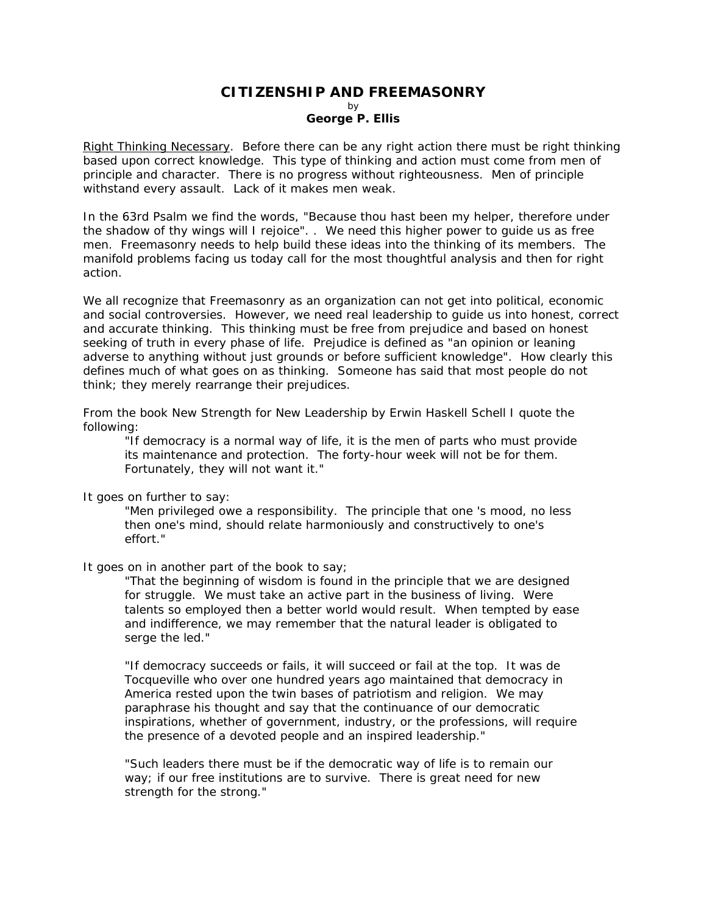## **CITIZENSHIP AND FREEMASONRY**  by **George P. Ellis**

Right Thinking Necessary. Before there can be any right action there must be right thinking based upon correct knowledge. This type of thinking and action must come from men of principle and character. There is no progress without righteousness. Men of principle withstand every assault. Lack of it makes men weak.

In the 63rd Psalm we find the words, "Because thou hast been my helper, therefore under the shadow of thy wings will I rejoice". . We need this higher power to guide us as free men. Freemasonry needs to help build these ideas into the thinking of its members. The manifold problems facing us today call for the most thoughtful analysis and then for right action.

We all recognize that Freemasonry as an organization can not get into political, economic and social controversies. However, we need real leadership to guide us into honest, correct and accurate thinking. This thinking must be free from prejudice and based on honest seeking of truth in every phase of life. Prejudice is defined as "an opinion or leaning adverse to anything without just grounds or before sufficient knowledge". How clearly this defines much of what goes on as thinking. Someone has said that most people do not think; they merely rearrange their prejudices.

From the book New Strength for New Leadership by Erwin Haskell Schell I quote the following:

"If democracy is a normal way of life, it is the men of parts who must provide its maintenance and protection. The forty-hour week will not be for them. Fortunately, they will not want it."

It goes on further to say:

"Men privileged owe a responsibility. The principle that one 's mood, no less then one's mind, should relate harmoniously and constructively to one's effort."

It goes on in another part of the book to say;

"That the beginning of wisdom is found in the principle that we are designed for struggle. We must take an active part in the business of living. Were talents so employed then a better world would result. When tempted by ease and indifference, we may remember that the natural leader is obligated to serge the led."

"If democracy succeeds or fails, it will succeed or fail at the top. It was de Tocqueville who over one hundred years ago maintained that democracy in America rested upon the twin bases of patriotism and religion. We may paraphrase his thought and say that the continuance of our democratic inspirations, whether of government, industry, or the professions, will require the presence of a devoted people and an inspired leadership."

"Such leaders there must be if the democratic way of life is to remain our way; if our free institutions are to survive. There is great need for new strength for the strong."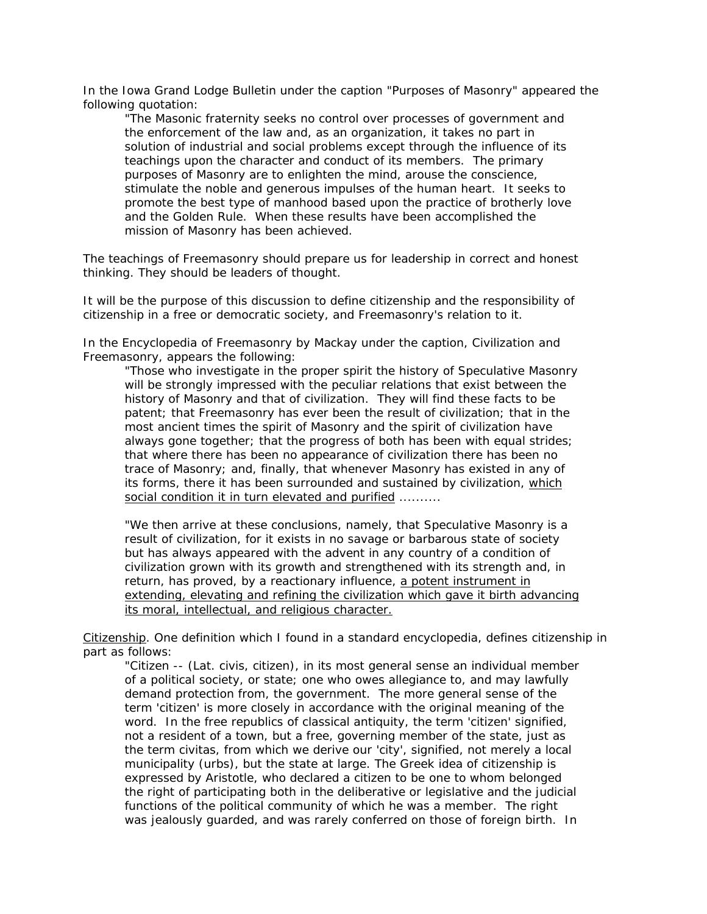In the Iowa Grand Lodge Bulletin under the caption "Purposes of Masonry" appeared the following quotation:

"The Masonic fraternity seeks no control over processes of government and the enforcement of the law and, as an organization, it takes no part in solution of industrial and social problems except through the influence of its teachings upon the character and conduct of its members. The primary purposes of Masonry are to enlighten the mind, arouse the conscience, stimulate the noble and generous impulses of the human heart. It seeks to promote the best type of manhood based upon the practice of brotherly love and the Golden Rule. When these results have been accomplished the mission of Masonry has been achieved.

The teachings of Freemasonry should prepare us for leadership in correct and honest thinking. They should be leaders of thought.

It will be the purpose of this discussion to define citizenship and the responsibility of citizenship in a free or democratic society, and Freemasonry's relation to it.

In the Encyclopedia of Freemasonry by Mackay under the caption, Civilization and Freemasonry, appears the following:

"Those who investigate in the proper spirit the history of Speculative Masonry will be strongly impressed with the peculiar relations that exist between the history of Masonry and that of civilization. They will find these facts to be patent; that Freemasonry has ever been the result of civilization; that in the most ancient times the spirit of Masonry and the spirit of civilization have always gone together; that the progress of both has been with equal strides; that where there has been no appearance of civilization there has been no trace of Masonry; and, finally, that whenever Masonry has existed in any of its forms, there it has been surrounded and sustained by civilization, which social condition it in turn elevated and purified ..........

"We then arrive at these conclusions, namely, that Speculative Masonry is a result of civilization, for it exists in no savage or barbarous state of society but has always appeared with the advent in any country of a condition of civilization grown with its growth and strengthened with its strength and, in return, has proved, by a reactionary influence, a potent instrument in extending, elevating and refining the civilization which gave it birth advancing its moral, intellectual, and religious character.

Citizenship. One definition which I found in a standard encyclopedia, defines citizenship in part as follows:

"Citizen -- (Lat. civis, citizen), in its most general sense an individual member of a political society, or state; one who owes allegiance to, and may lawfully demand protection from, the government. The more general sense of the term 'citizen' is more closely in accordance with the original meaning of the word. In the free republics of classical antiquity, the term 'citizen' signified, not a resident of a town, but a free, governing member of the state, just as the term civitas, from which we derive our 'city', signified, not merely a local municipality (urbs), but the state at large. The Greek idea of citizenship is expressed by Aristotle, who declared a citizen to be one to whom belonged the right of participating both in the deliberative or legislative and the judicial functions of the political community of which he was a member. The right was jealously guarded, and was rarely conferred on those of foreign birth. In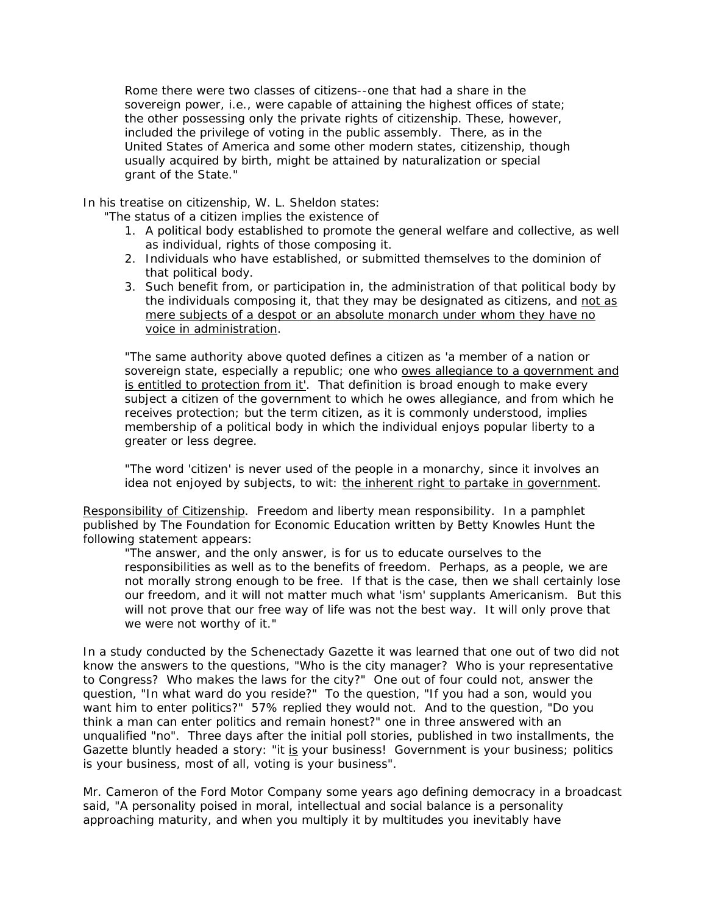Rome there were two classes of citizens--one that had a share in the sovereign power, i.e., were capable of attaining the highest offices of state; the other possessing only the private rights of citizenship. These, however, included the privilege of voting in the public assembly. There, as in the United States of America and some other modern states, citizenship, though usually acquired by birth, might be attained by naturalization or special grant of the State."

In his treatise on citizenship, W. L. Sheldon states:

"The status of a citizen implies the existence of

- 1. A political body established to promote the general welfare and collective, as well as individual, rights of those composing it.
- 2. Individuals who have established, or submitted themselves to the dominion of that political body.
- 3. Such benefit from, or participation in, the administration of that political body by the individuals composing it, that they may be designated as citizens, and not as mere subjects of a despot or an absolute monarch under whom they have no voice in administration.

"The same authority above quoted defines a citizen as 'a member of a nation or sovereign state, especially a republic; one who owes allegiance to a government and is entitled to protection from it'. That definition is broad enough to make every subject a citizen of the government to which he owes allegiance, and from which he receives protection; but the term citizen, as it is commonly understood, implies membership of a political body in which the individual enjoys popular liberty to a greater or less degree.

"The word 'citizen' is never used of the people in a monarchy, since it involves an idea not enjoyed by subjects, to wit: the inherent right to partake in government.

Responsibility of Citizenship. Freedom and liberty mean responsibility. In a pamphlet published by The Foundation for Economic Education written by Betty Knowles Hunt the following statement appears:

"The answer, and the only answer, is for us to educate ourselves to the responsibilities as well as to the benefits of freedom. Perhaps, as a people, we are not morally strong enough to be free. If that is the case, then we shall certainly lose our freedom, and it will not matter much what 'ism' supplants Americanism. But this will not prove that our free way of life was not the best way. It will only prove that we were not worthy of it."

In a study conducted by the Schenectady Gazette it was learned that one out of two did not know the answers to the questions, "Who is the city manager? Who is your representative to Congress? Who makes the laws for the city?" One out of four could not, answer the question, "In what ward do you reside?" To the question, "If you had a son, would you want him to enter politics?" 57% replied they would not. And to the question, "Do you think a man can enter politics and remain honest?" one in three answered with an unqualified "no". Three days after the initial poll stories, published in two installments, the Gazette bluntly headed a story: "it is your business! Government is your business; politics is your business, most of all, voting is your business".

Mr. Cameron of the Ford Motor Company some years ago defining democracy in a broadcast said, "A personality poised in moral, intellectual and social balance is a personality approaching maturity, and when you multiply it by multitudes you inevitably have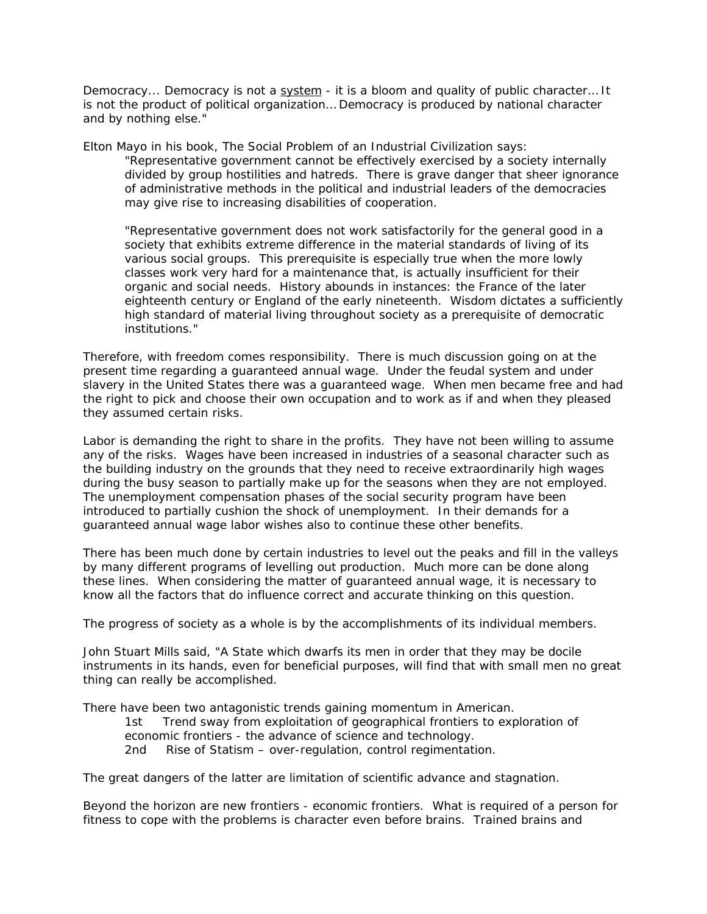Democracy... Democracy is not a system - it is a bloom and quality of public character... It is not the product of political organization… Democracy is produced by national character and by nothing else."

Elton Mayo in his book, The Social Problem of an Industrial Civilization says:

"Representative government cannot be effectively exercised by a society internally divided by group hostilities and hatreds. There is grave danger that sheer ignorance of administrative methods in the political and industrial leaders of the democracies may give rise to increasing disabilities of cooperation.

"Representative government does not work satisfactorily for the general good in a society that exhibits extreme difference in the material standards of living of its various social groups. This prerequisite is especially true when the more lowly classes work very hard for a maintenance that, is actually insufficient for their organic and social needs. History abounds in instances: the France of the later eighteenth century or England of the early nineteenth. Wisdom dictates a sufficiently high standard of material living throughout society as a prerequisite of democratic institutions."

Therefore, with freedom comes responsibility. There is much discussion going on at the present time regarding a guaranteed annual wage. Under the feudal system and under slavery in the United States there was a guaranteed wage. When men became free and had the right to pick and choose their own occupation and to work as if and when they pleased they assumed certain risks.

Labor is demanding the right to share in the profits. They have not been willing to assume any of the risks. Wages have been increased in industries of a seasonal character such as the building industry on the grounds that they need to receive extraordinarily high wages during the busy season to partially make up for the seasons when they are not employed. The unemployment compensation phases of the social security program have been introduced to partially cushion the shock of unemployment. In their demands for a guaranteed annual wage labor wishes also to continue these other benefits.

There has been much done by certain industries to level out the peaks and fill in the valleys by many different programs of levelling out production. Much more can be done along these lines. When considering the matter of guaranteed annual wage, it is necessary to know all the factors that do influence correct and accurate thinking on this question.

The progress of society as a whole is by the accomplishments of its individual members.

John Stuart Mills said, "A State which dwarfs its men in order that they may be docile instruments in its hands, even for beneficial purposes, will find that with small men no great thing can really be accomplished.

There have been two antagonistic trends gaining momentum in American.

1st Trend sway from exploitation of geographical frontiers to exploration of economic frontiers - the advance of science and technology. 2nd Rise of Statism – over-regulation, control regimentation.

The great dangers of the latter are limitation of scientific advance and stagnation.

Beyond the horizon are new frontiers - economic frontiers. What is required of a person for fitness to cope with the problems is character even before brains. Trained brains and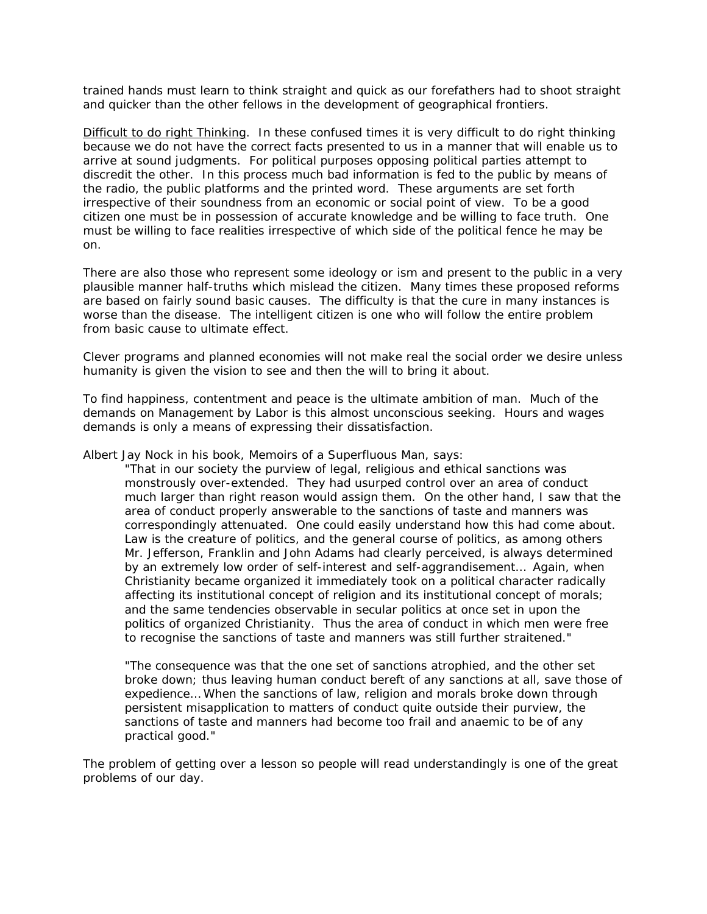trained hands must learn to think straight and quick as our forefathers had to shoot straight and quicker than the other fellows in the development of geographical frontiers.

Difficult to do right Thinking. In these confused times it is very difficult to do right thinking because we do not have the correct facts presented to us in a manner that will enable us to arrive at sound judgments. For political purposes opposing political parties attempt to discredit the other. In this process much bad information is fed to the public by means of the radio, the public platforms and the printed word. These arguments are set forth irrespective of their soundness from an economic or social point of view. To be a good citizen one must be in possession of accurate knowledge and be willing to face truth. One must be willing to face realities irrespective of which side of the political fence he may be on.

There are also those who represent some ideology or ism and present to the public in a very plausible manner half-truths which mislead the citizen. Many times these proposed reforms are based on fairly sound basic causes. The difficulty is that the cure in many instances is worse than the disease. The intelligent citizen is one who will follow the entire problem from basic cause to ultimate effect.

Clever programs and planned economies will not make real the social order we desire unless humanity is given the vision to see and then the will to bring it about.

To find happiness, contentment and peace is the ultimate ambition of man. Much of the demands on Management by Labor is this almost unconscious seeking. Hours and wages demands is only a means of expressing their dissatisfaction.

Albert Jay Nock in his book, Memoirs of a Superfluous Man, says:

"That in our society the purview of legal, religious and ethical sanctions was monstrously over-extended. They had usurped control over an area of conduct much larger than right reason would assign them. On the other hand, I saw that the area of conduct properly answerable to the sanctions of taste and manners was correspondingly attenuated. One could easily understand how this had come about. Law is the creature of politics, and the general course of politics, as among others Mr. Jefferson, Franklin and John Adams had clearly perceived, is always determined by an extremely low order of self-interest and self-aggrandisement… Again, when Christianity became organized it immediately took on a political character radically affecting its institutional concept of religion and its institutional concept of morals; and the same tendencies observable in secular politics at once set in upon the politics of organized Christianity. Thus the area of conduct in which men were free to recognise the sanctions of taste and manners was still further straitened."

"The consequence was that the one set of sanctions atrophied, and the other set broke down; thus leaving human conduct bereft of any sanctions at all, save those of expedience… When the sanctions of law, religion and morals broke down through persistent misapplication to matters of conduct quite outside their purview, the sanctions of taste and manners had become too frail and anaemic to be of any practical good."

The problem of getting over a lesson so people will read understandingly is one of the great problems of our day.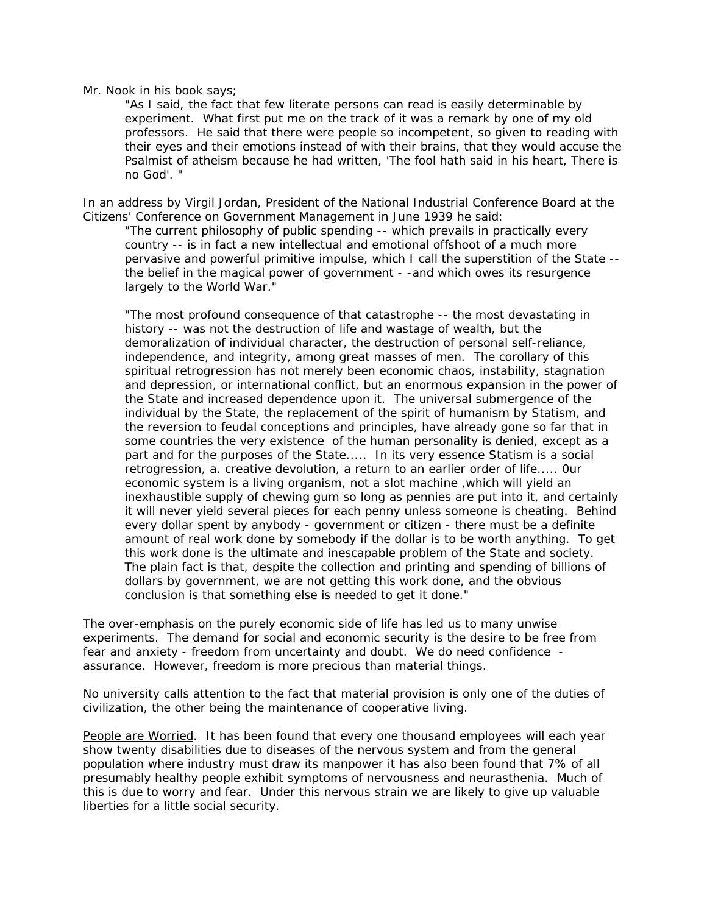## Mr. Nook in his book says;

"As I said, the fact that few literate persons can read is easily determinable by experiment. What first put me on the track of it was a remark by one of my old professors. He said that there were people so incompetent, so given to reading with their eyes and their emotions instead of with their brains, that they would accuse the Psalmist of atheism because he had written, 'The fool hath said in his heart, There is no God'. "

In an address by Virgil Jordan, President of the National Industrial Conference Board at the Citizens' Conference on Government Management in June 1939 he said:

"The current philosophy of public spending -- which prevails in practically every country -- is in fact a new intellectual and emotional offshoot of a much more pervasive and powerful primitive impulse, which I call the superstition of the State - the belief in the magical power of government - -and which owes its resurgence largely to the World War."

"The most profound consequence of that catastrophe -- the most devastating in history -- was not the destruction of life and wastage of wealth, but the demoralization of individual character, the destruction of personal self-reliance, independence, and integrity, among great masses of men. The corollary of this spiritual retrogression has not merely been economic chaos, instability, stagnation and depression, or international conflict, but an enormous expansion in the power of the State and increased dependence upon it. The universal submergence of the individual by the State, the replacement of the spirit of humanism by Statism, and the reversion to feudal conceptions and principles, have already gone so far that in some countries the very existence of the human personality is denied, except as a part and for the purposes of the State..... In its very essence Statism is a social retrogression, a. creative devolution, a return to an earlier order of life..... 0ur economic system is a living organism, not a slot machine ,which will yield an inexhaustible supply of chewing gum so long as pennies are put into it, and certainly it will never yield several pieces for each penny unless someone is cheating. Behind every dollar spent by anybody - government or citizen - there must be a definite amount of real work done by somebody if the dollar is to be worth anything. To get this work done is the ultimate and inescapable problem of the State and society. The plain fact is that, despite the collection and printing and spending of billions of dollars by government, we are not getting this work done, and the obvious conclusion is that something else is needed to get it done."

The over-emphasis on the purely economic side of life has led us to many unwise experiments. The demand for social and economic security is the desire to be free from fear and anxiety - freedom from uncertainty and doubt. We do need confidence assurance. However, freedom is more precious than material things.

No university calls attention to the fact that material provision is only one of the duties of civilization, the other being the maintenance of cooperative living.

People are Worried. It has been found that every one thousand employees will each year show twenty disabilities due to diseases of the nervous system and from the general population where industry must draw its manpower it has also been found that 7% of all presumably healthy people exhibit symptoms of nervousness and neurasthenia. Much of this is due to worry and fear. Under this nervous strain we are likely to give up valuable liberties for a little social security.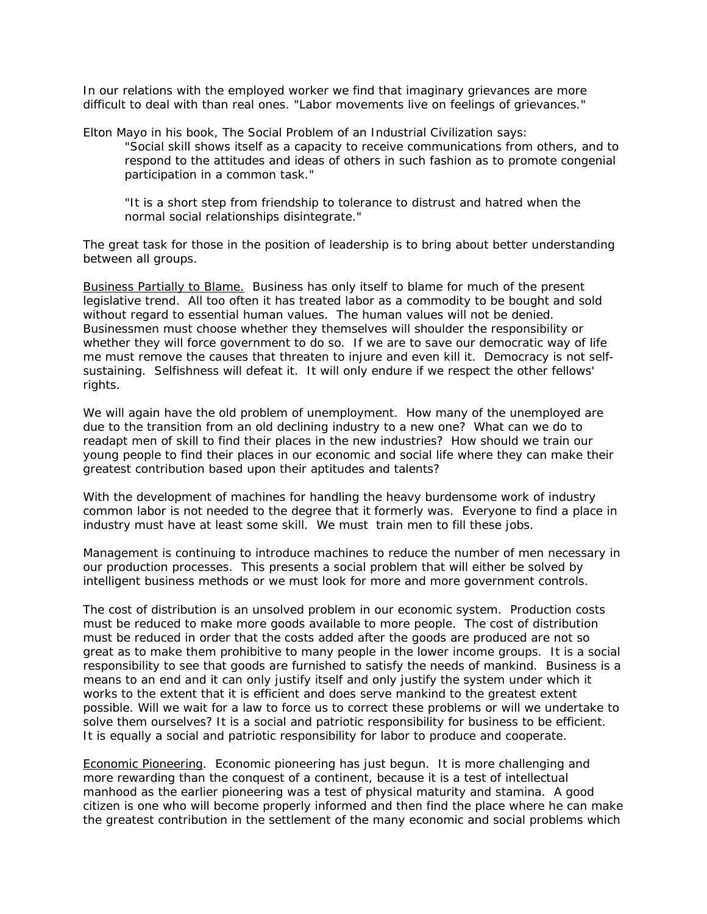In our relations with the employed worker we find that imaginary grievances are more difficult to deal with than real ones. "Labor movements live on feelings of grievances."

Elton Mayo in his book, The Social Problem of an Industrial Civilization says:

"Social skill shows itself as a capacity to receive communications from others, and to respond to the attitudes and ideas of others in such fashion as to promote congenial participation in a common task."

"It is a short step from friendship to tolerance to distrust and hatred when the normal social relationships disintegrate."

The great task for those in the position of leadership is to bring about better understanding between all groups.

Business Partially to Blame. Business has only itself to blame for much of the present legislative trend. All too often it has treated labor as a commodity to be bought and sold without regard to essential human values. The human values will not be denied. Businessmen must choose whether they themselves will shoulder the responsibility or whether they will force government to do so. If we are to save our democratic way of life me must remove the causes that threaten to injure and even kill it. Democracy is not selfsustaining. Selfishness will defeat it. It will only endure if we respect the other fellows' rights.

We will again have the old problem of unemployment. How many of the unemployed are due to the transition from an old declining industry to a new one? What can we do to readapt men of skill to find their places in the new industries? How should we train our young people to find their places in our economic and social life where they can make their greatest contribution based upon their aptitudes and talents?

With the development of machines for handling the heavy burdensome work of industry common labor is not needed to the degree that it formerly was. Everyone to find a place in industry must have at least some skill. We must train men to fill these jobs.

Management is continuing to introduce machines to reduce the number of men necessary in our production processes. This presents a social problem that will either be solved by intelligent business methods or we must look for more and more government controls.

The cost of distribution is an unsolved problem in our economic system. Production costs must be reduced to make more goods available to more people. The cost of distribution must be reduced in order that the costs added after the goods are produced are not so great as to make them prohibitive to many people in the lower income groups. It is a social responsibility to see that goods are furnished to satisfy the needs of mankind. Business is a means to an end and it can only justify itself and only justify the system under which it works to the extent that it is efficient and does serve mankind to the greatest extent possible. Will we wait for a law to force us to correct these problems or will we undertake to solve them ourselves? It is a social and patriotic responsibility for business to be efficient. It is equally a social and patriotic responsibility for labor to produce and cooperate.

Economic Pioneering. Economic pioneering has just begun. It is more challenging and more rewarding than the conquest of a continent, because it is a test of intellectual manhood as the earlier pioneering was a test of physical maturity and stamina. A good citizen is one who will become properly informed and then find the place where he can make the greatest contribution in the settlement of the many economic and social problems which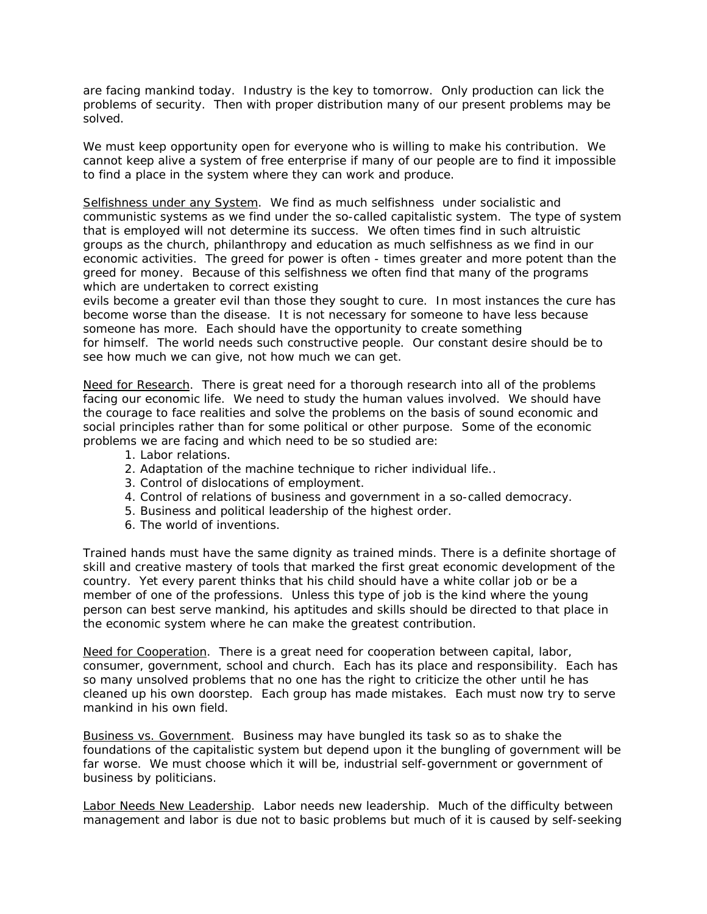are facing mankind today. Industry is the key to tomorrow. Only production can lick the problems of security. Then with proper distribution many of our present problems may be solved.

We must keep opportunity open for everyone who is willing to make his contribution. We cannot keep alive a system of free enterprise if many of our people are to find it impossible to find a place in the system where they can work and produce.

Selfishness under any System. We find as much selfishness under socialistic and communistic systems as we find under the so-called capitalistic system. The type of system that is employed will not determine its success. We often times find in such altruistic groups as the church, philanthropy and education as much selfishness as we find in our economic activities. The greed for power is often - times greater and more potent than the greed for money. Because of this selfishness we often find that many of the programs which are undertaken to correct existing

evils become a greater evil than those they sought to cure. In most instances the cure has become worse than the disease. It is not necessary for someone to have less because someone has more. Each should have the opportunity to create something for himself. The world needs such constructive people. Our constant desire should be to see how much we can give, not how much we can get.

Need for Research. There is great need for a thorough research into all of the problems facing our economic life. We need to study the human values involved. We should have the courage to face realities and solve the problems on the basis of sound economic and social principles rather than for some political or other purpose. Some of the economic problems we are facing and which need to be so studied are:

- 1. Labor relations.
- 2. Adaptation of the machine technique to richer individual life..
- 3. Control of dislocations of employment.
- 4. Control of relations of business and government in a so-called democracy.
- 5. Business and political leadership of the highest order.
- 6. The world of inventions.

Trained hands must have the same dignity as trained minds. There is a definite shortage of skill and creative mastery of tools that marked the first great economic development of the country. Yet every parent thinks that his child should have a white collar job or be a member of one of the professions. Unless this type of job is the kind where the young person can best serve mankind, his aptitudes and skills should be directed to that place in the economic system where he can make the greatest contribution.

Need for Cooperation. There is a great need for cooperation between capital, labor, consumer, government, school and church. Each has its place and responsibility. Each has so many unsolved problems that no one has the right to criticize the other until he has cleaned up his own doorstep. Each group has made mistakes. Each must now try to serve mankind in his own field.

Business vs. Government. Business may have bungled its task so as to shake the foundations of the capitalistic system but depend upon it the bungling of government will be far worse. We must choose which it will be, industrial self-government or government of business by politicians.

Labor Needs New Leadership. Labor needs new leadership. Much of the difficulty between management and labor is due not to basic problems but much of it is caused by self-seeking